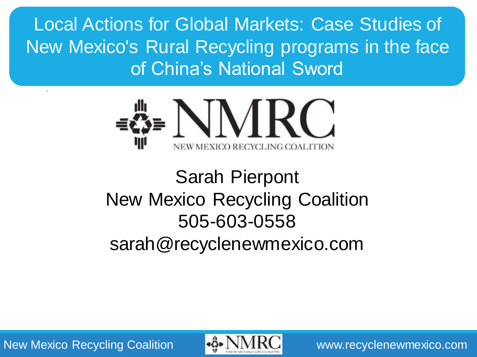Local Actions for Global Markets: Case Studies of New Mexico's Rural Recycling programs in the face of China's National Sword



# Sarah Pierpont New Mexico Recycling Coalition 505-603-0558 sarah@recyclenewmexico.com

New Mexico Recycling Coalition **WE NIMIRO** www.recyclenewmexico.com

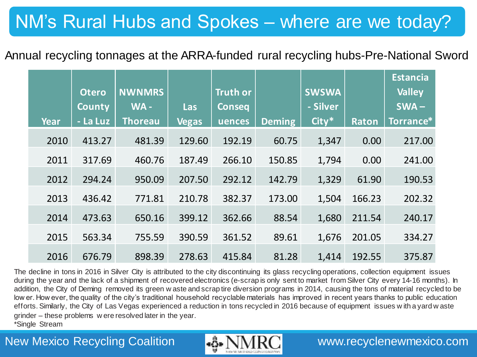## Annual recycling tonnages at the ARRA-funded rural recycling hubs-Pre-National Sword

|             | <b>Otero</b><br>County | <b>NWNMRS</b><br>WA- | <b>Las</b>   | <b>Truth or</b><br><b>Conseq</b> |               | <b>SWSWA</b><br>- Silver |              | <b>Estancia</b><br><b>Valley</b><br>$SWA -$ |
|-------------|------------------------|----------------------|--------------|----------------------------------|---------------|--------------------------|--------------|---------------------------------------------|
| <b>Year</b> | - La Luz               | <b>Thoreau</b>       | <b>Vegas</b> | uences                           | <b>Deming</b> | City*                    | <b>Raton</b> | Torrance*                                   |
| 2010        | 413.27                 | 481.39               | 129.60       | 192.19                           | 60.75         | 1,347                    | 0.00         | 217.00                                      |
| 2011        | 317.69                 | 460.76               | 187.49       | 266.10                           | 150.85        | 1,794                    | 0.00         | 241.00                                      |
| 2012        | 294.24                 | 950.09               | 207.50       | 292.12                           | 142.79        | 1,329                    | 61.90        | 190.53                                      |
| 2013        | 436.42                 | 771.81               | 210.78       | 382.37                           | 173.00        | 1,504                    | 166.23       | 202.32                                      |
| 2014        | 473.63                 | 650.16               | 399.12       | 362.66                           | 88.54         | 1,680                    | 211.54       | 240.17                                      |
| 2015        | 563.34                 | 755.59               | 390.59       | 361.52                           | 89.61         | 1,676                    | 201.05       | 334.27                                      |
| 2016        | 676.79                 | 898.39               | 278.63       | 415.84                           | 81.28         | 1,414                    | 192.55       | 375.87                                      |

The decline in tons in 2016 in Silver City is attributed to the city discontinuing its glass recycling operations, collection equipment issues during the year and the lack of a shipment of recovered electronics (e-scrap is only sent to market from Silver City every 14-16 months). In addition, the City of Deming removed its green w aste and scrap tire diversion programs in 2014, causing the tons of material recycled to be low er. How ever, the quality of the city's traditional household recyclable materials has improved in recent years thanks to public education efforts. Similarly, the City of Las Vegas experienced a reduction in tons recycled in 2016 because of equipment issues w ith a yard w aste grinder – these problems w ere resolved later in the year. \*Single Stream

## New Mexico Recycling Coalition **WAMERON** www.recyclenewmexico.com

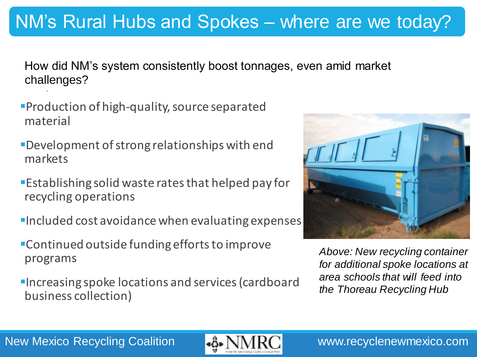## New Mexico Recycling Coalition WENNIRO www.recyclenewmexico.com

# NM's Rural Hubs and Spokes – where are we today?

How did NM's system consistently boost tonnages, even amid market challenges?

- Production of high-quality, source separated material
- Development of strong relationships with end markets
- Establishing solid waste rates that helped pay for recycling operations
- **Included cost avoidance when evaluating expenses**
- Continued outside funding efforts to improve programs
- **Increasing spoke locations and services (cardboard** business collection)



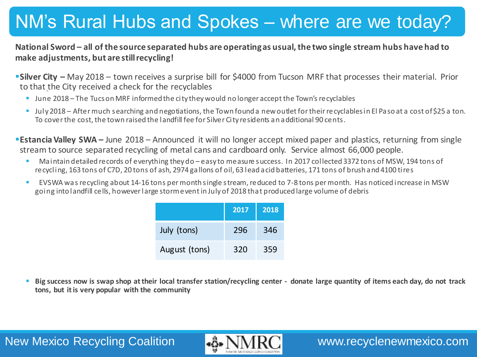### **National Sword – all of the source separated hubs are operating as usual, the two single stream hubs have had to make adjustments, but are still recycling!**

- **Silver City –** May 2018 town receives a surprise bill for \$4000 from Tucson MRF that processes their material. Prior to that the City received a check for the recyclables
	- **June 2018** The Tucs on MRF informed the city they would no longer accept the Town's recyclables
	- July 2018 After much searching and negotiations, the Town found a new outlet for their recyclables in El Paso at a cost of \$25 a ton. To cover the cost, the town raised the landfill fee for Silver City residents an additional 90 cents.

**Estancia Valley SWA** – June 2018 – Announced it will no longer accept mixed paper and plastics, returning from single stream to source separated recycling of metal cans and cardboard only. Service almost 66,000 people.

- Maintain detailed records of everything they do easy to measure success. In 2017 collected 3372 tons of MSW, 194 tons of recycling, 163 tons of C7D, 20 tons of ash, 2974 gallons of oil, 63 lead acid batteries, 171 tons of brush and 4100 tires
- EVSWA was recycling about 14-16 tons per month single stream, reduced to 7-8 tons per month. Has noticed increase in MSW going into landfill cells, however large storm event in July of 2018 that produced large volume of debris

|               | 2017 | 2018 |
|---------------|------|------|
| July (tons)   | 296  | 346  |
| August (tons) | 320  | 359  |

 **Big success now is swap shop at their local transfer station/recycling center - donate large quantity of items each day, do not track tons, but it is very popular with the community**

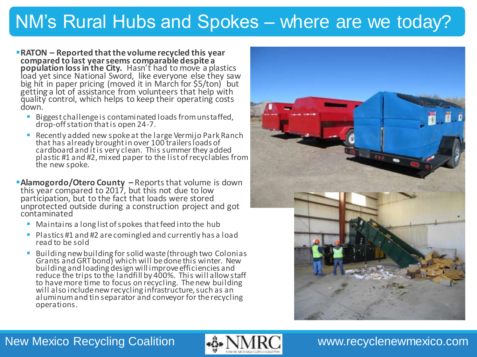- **RATON – Reported that the volume recycled this year compared to last year seems comparable despite a population loss in the City.** Hasn't had to move a plastics load yet since National Sword, like everyone else they saw big hit in paper pricing (moved it in March for \$5/ton) but getting a lot of assistance from volunteers that help with quality control, which helps to keep their operating costs down.
	- Biggest challenge is contaminated loads from unstaffed, drop-off station that is open 24-7.
	- Recently added new spoke at the large Vermijo Park Ranch that has already brought in over 100 trailers loads of cardboard and it is very clean. This summer they added plastic #1 and #2, mixed paper to the list of recyclables from the new spoke.
- **Alamogordo/Otero County –** Reports that volume is down this year compared to 2017, but this not due to low participation, but to the fact that loads were stored unprotected outside during a construction project and got contaminated
	- **Maintains a long list of spokes that feed into the hub**
	- Plastics #1 and #2 are comingled and currently has a load read to be sold
	- **Building new building for solid waste (through two Colonias** Grants and GRT bond) which will be done this winter. New building and loading design will improve efficiencies and reduce the trips to the landfill by 400%. This will allow staff to have more time to focus on recycling. The new building will also include new recycling infrastructure, such as an aluminum and tin separator and conveyor for the recycling operations.



### New Mexico Recycling Coalition **WARC WWW.recyclenewmexico.com**